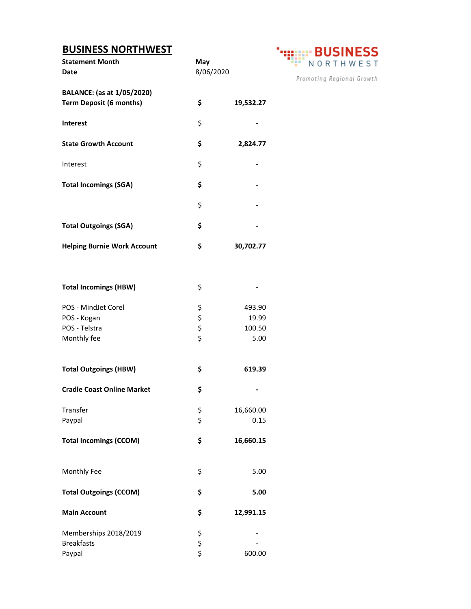## **BUSINESS NORTHWEST**

| <b>BUSINESS NORTHWEST</b>          | <b>BUSINESS</b>  |           |                           |
|------------------------------------|------------------|-----------|---------------------------|
| <b>Statement Month</b>             | May<br>8/06/2020 |           | NORTHWEST                 |
| Date                               |                  |           |                           |
|                                    |                  |           | Promoting Regional Growth |
| BALANCE: (as at 1/05/2020)         |                  |           |                           |
| <b>Term Deposit (6 months)</b>     | \$               | 19,532.27 |                           |
| Interest                           | \$               |           |                           |
|                                    |                  |           |                           |
| <b>State Growth Account</b>        | \$               | 2,824.77  |                           |
|                                    |                  |           |                           |
| Interest                           | \$               |           |                           |
|                                    |                  |           |                           |
| <b>Total Incomings (SGA)</b>       | \$               |           |                           |
|                                    | \$               |           |                           |
|                                    |                  |           |                           |
| <b>Total Outgoings (SGA)</b>       | \$               |           |                           |
|                                    |                  |           |                           |
| <b>Helping Burnie Work Account</b> | \$               | 30,702.77 |                           |
|                                    |                  |           |                           |
|                                    |                  |           |                           |
| <b>Total Incomings (HBW)</b>       | \$               |           |                           |
|                                    |                  |           |                           |
| POS - MindJet Corel                |                  | 493.90    |                           |
| POS - Kogan                        | \$ \$ \$ \$      | 19.99     |                           |
| POS - Telstra                      |                  | 100.50    |                           |
| Monthly fee                        |                  | 5.00      |                           |
|                                    |                  |           |                           |
|                                    |                  |           |                           |
| <b>Total Outgoings (HBW)</b>       | \$               | 619.39    |                           |
|                                    |                  |           |                           |
| <b>Cradle Coast Online Market</b>  | \$               |           |                           |
| Transfer                           | \$               | 16,660.00 |                           |
| Paypal                             | \$               | 0.15      |                           |
|                                    |                  |           |                           |
| <b>Total Incomings (CCOM)</b>      | \$               | 16,660.15 |                           |
|                                    |                  |           |                           |
|                                    |                  |           |                           |
| Monthly Fee                        | \$               | 5.00      |                           |
| <b>Total Outgoings (CCOM)</b>      | \$               | 5.00      |                           |
|                                    |                  |           |                           |
| <b>Main Account</b>                | \$               | 12,991.15 |                           |
|                                    |                  |           |                           |
| Memberships 2018/2019              |                  |           |                           |
| <b>Breakfasts</b>                  | \$<br>\$<br>\$   |           |                           |
| Paypal                             |                  | 600.00    |                           |